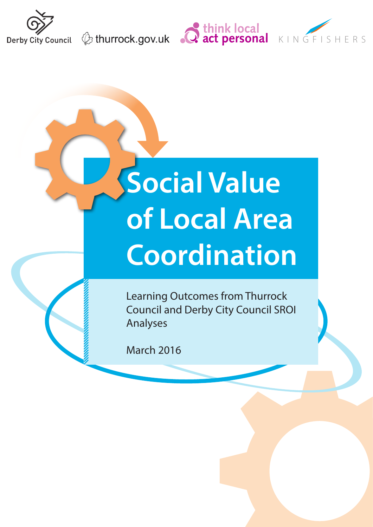





# **Social Value of Local Area Coordination**

Learning Outcomes from Thurrock Council and Derby City Council SROI Analyses

March 2016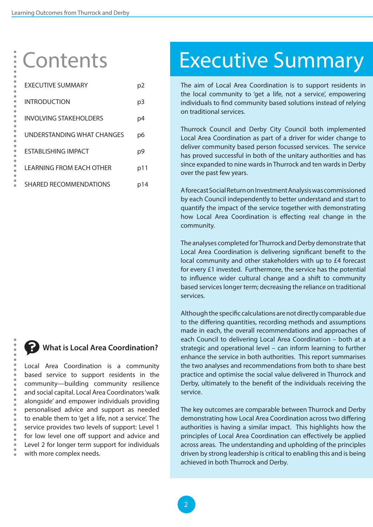### **Contents**

 $\bullet$ 

 $\bullet$  $\bullet$  $\bullet$  $\bullet$ 

| EXECUTIVE SUMMARY             | p2    |
|-------------------------------|-------|
| <b>INTRODUCTION</b>           | p3    |
| INVOLVING STAKEHOLDERS        | p4    |
| UNDERSTANDING WHAT CHANGES    | p6    |
| ESTABI ISHING IMPACT          | p9    |
| I FARNING FROM FACH OTHFR     | p11   |
| <b>SHARED RECOMMENDATIONS</b> | p I 4 |

#### **What is Local Area Coordination?**

Local Area Coordination is a community based service to support residents in the community—building community resilience and social capital. Local Area Coordinators 'walk alongside' and empower individuals providing personalised advice and support as needed to enable them to 'get a life, not a service'. The service provides two levels of support: Level 1 for low level one off support and advice and Level 2 for longer term support for individuals with more complex needs.

## Executive Summary

The aim of Local Area Coordination is to support residents in the local community to 'get a life, not a service', empowering individuals to find community based solutions instead of relying on traditional services.

Thurrock Council and Derby City Council both implemented Local Area Coordination as part of a driver for wider change to deliver community based person focussed services. The service has proved successful in both of the unitary authorities and has since expanded to nine wards in Thurrock and ten wards in Derby over the past few years.

A forecast Social Return on Investment Analysis was commissioned by each Council independently to better understand and start to quantify the impact of the service together with demonstrating how Local Area Coordination is effecting real change in the community.

The analyses completed for Thurrock and Derby demonstrate that Local Area Coordination is delivering significant benefit to the local community and other stakeholders with up to £4 forecast for every £1 invested. Furthermore, the service has the potential to influence wider cultural change and a shift to community based services longer term; decreasing the reliance on traditional services.

Although the specific calculations are not directly comparable due to the differing quantities, recording methods and assumptions made in each, the overall recommendations and approaches of each Council to delivering Local Area Coordination – both at a strategic and operational level – can inform learning to further enhance the service in both authorities. This report summarises the two analyses and recommendations from both to share best practice and optimise the social value delivered in Thurrock and Derby, ultimately to the benefit of the individuals receiving the service.

The key outcomes are comparable between Thurrock and Derby demonstrating how Local Area Coordination across two differing authorities is having a similar impact. This highlights how the principles of Local Area Coordination can effectively be applied across areas. The understanding and upholding of the principles driven by strong leadership is critical to enabling this and is being achieved in both Thurrock and Derby.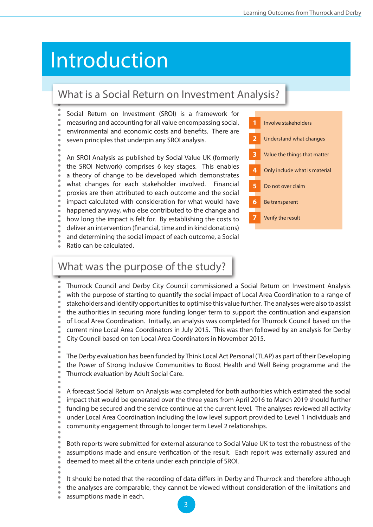### <span id="page-2-0"></span>Introduction

#### What is a Social Return on Investment Analysis?

Social Return on Investment (SROI) is a framework for

- measuring and accounting for all value encompassing social,
- environmental and economic costs and benefits. There are
- seven principles that underpin any SROI analysis.

An SROI Analysis as published by Social Value UK (formerly the SROI Network) comprises 6 key stages. This enables a theory of change to be developed which demonstrates what changes for each stakeholder involved. Financial proxies are then attributed to each outcome and the social impact calculated with consideration for what would have happened anyway, who else contributed to the change and how long the impact is felt for. By establishing the costs to deliver an intervention (financial, time and in kind donations) and determining the social impact of each outcome, a Social

Ratio can be calculated.



#### What was the purpose of the study?

Thurrock Council and Derby City Council commissioned a Social Return on Investment Analysis with the purpose of starting to quantify the social impact of Local Area Coordination to a range of stakeholders and identify opportunities to optimise this value further. The analyses were also to assist the authorities in securing more funding longer term to support the continuation and expansion of Local Area Coordination. Initially, an analysis was completed for Thurrock Council based on the current nine Local Area Coordinators in July 2015. This was then followed by an analysis for Derby City Council based on ten Local Area Coordinators in November 2015.

The Derby evaluation has been funded by Think Local Act Personal (TLAP) as part of their Developing the Power of Strong Inclusive Communities to Boost Health and Well Being programme and the Thurrock evaluation by Adult Social Care.

A forecast Social Return on Analysis was completed for both authorities which estimated the social impact that would be generated over the three years from April 2016 to March 2019 should further funding be secured and the service continue at the current level. The analyses reviewed all activity under Local Area Coordination including the low level support provided to Level 1 individuals and community engagement through to longer term Level 2 relationships.

Both reports were submitted for external assurance to Social Value UK to test the robustness of the assumptions made and ensure verification of the result. Each report was externally assured and deemed to meet all the criteria under each principle of SROI.

- - It should be noted that the recording of data differs in Derby and Thurrock and therefore although
- the analyses are comparable, they cannot be viewed without consideration of the limitations and
- assumptions made in each.

3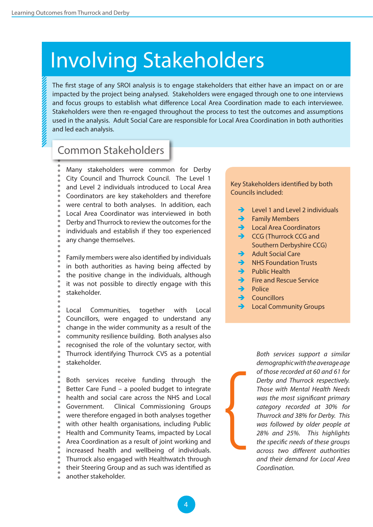### <span id="page-3-0"></span>Involving Stakeholders

The first stage of any SROI analysis is to engage stakeholders that either have an impact on or are impacted by the project being analysed. Stakeholders were engaged through one to one interviews and focus groups to establish what difference Local Area Coordination made to each interviewee. Stakeholders were then re-engaged throughout the process to test the outcomes and assumptions used in the analysis. Adult Social Care are responsible for Local Area Coordination in both authorities and led each analysis.

#### Common Stakeholders

Many stakeholders were common for Derby City Council and Thurrock Council. The Level 1 and Level 2 individuals introduced to Local Area Coordinators are key stakeholders and therefore were central to both analyses. In addition, each Local Area Coordinator was interviewed in both Derby and Thurrock to review the outcomes for the individuals and establish if they too experienced any change themselves.

Family members were also identified by individuals in both authorities as having being affected by the positive change in the individuals, although it was not possible to directly engage with this stakeholder.

Local Communities, together with Local Councillors, were engaged to understand any change in the wider community as a result of the community resilience building. Both analyses also recognised the role of the voluntary sector, with Thurrock identifying Thurrock CVS as a potential stakeholder.

Both services receive funding through the Better Care Fund – a pooled budget to integrate health and social care across the NHS and Local Government. Clinical Commissioning Groups were therefore engaged in both analyses together with other health organisations, including Public Health and Community Teams, impacted by Local Area Coordination as a result of joint working and increased health and wellbeing of individuals. Thurrock also engaged with Healthwatch through their Steering Group and as such was identified as another stakeholder.

#### Key Stakeholders identified by both Councils included:

- Level 1 and Level 2 individuals
- $\rightarrow$  Family Members
- Local Area Coordinators
- CCG (Thurrock CCG and Southern Derbyshire CCG)
- $\rightarrow$  Adult Social Care
- $\rightarrow$  NHS Foundation Trusts
- Public Health
- $\rightarrow$  Fire and Rescue Service
- $\rightarrow$  Police

{

- $\rightarrow$  Councillors
- Local Community Groups

*Both services support a similar demographic with the average age of those recorded at 60 and 61 for Derby and Thurrock respectively. Those with Mental Health Needs was the most significant primary category recorded at 30% for Thurrock and 38% for Derby. This was followed by older people at 28% and 25%. This highlights the specific needs of these groups across two different authorities and their demand for Local Area Coordination.*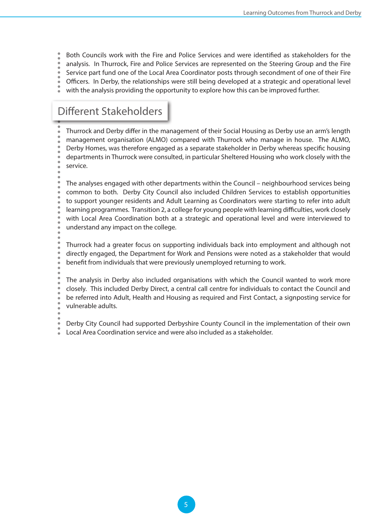- Both Councils work with the Fire and Police Services and were identified as stakeholders for the
- analysis. In Thurrock, Fire and Police Services are represented on the Steering Group and the Fire
- Service part fund one of the Local Area Coordinator posts through secondment of one of their Fire
- Officers. In Derby, the relationships were still being developed at a strategic and operational level
- with the analysis providing the opportunity to explore how this can be improved further.

#### Different Stakeholders

Thurrock and Derby differ in the management of their Social Housing as Derby use an arm's length management organisation (ALMO) compared with Thurrock who manage in house. The ALMO, Derby Homes, was therefore engaged as a separate stakeholder in Derby whereas specific housing departments in Thurrock were consulted, in particular Sheltered Housing who work closely with the service.

The analyses engaged with other departments within the Council – neighbourhood services being common to both. Derby City Council also included Children Services to establish opportunities to support younger residents and Adult Learning as Coordinators were starting to refer into adult learning programmes. Transition 2, a college for young people with learning difficulties, work closely with Local Area Coordination both at a strategic and operational level and were interviewed to understand any impact on the college.

Thurrock had a greater focus on supporting individuals back into employment and although not directly engaged, the Department for Work and Pensions were noted as a stakeholder that would benefit from individuals that were previously unemployed returning to work.

The analysis in Derby also included organisations with which the Council wanted to work more closely. This included Derby Direct, a central call centre for individuals to contact the Council and be referred into Adult, Health and Housing as required and First Contact, a signposting service for vulnerable adults.

Derby City Council had supported Derbyshire County Council in the implementation of their own Local Area Coordination service and were also included as a stakeholder.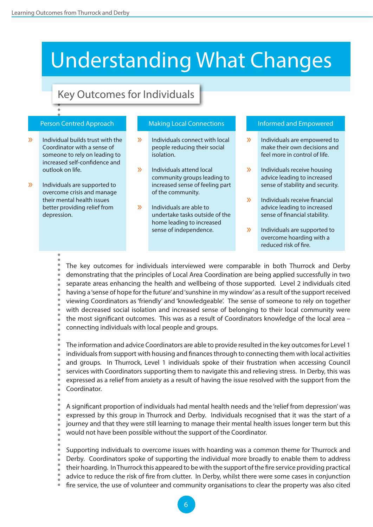### <span id="page-5-0"></span>Understanding What Changes

#### Key Outcomes for Individuals

- **19. Individual builds trust with the**  $\longrightarrow$  **Individuals connect with local** Coordinator with a sense of someone to rely on leading to increased self-confidence and outlook on life.
- Individuals are supported to overcome crisis and manage their mental health issues better providing relief from depression. »

#### Person Centred Approach **Making Local Connections Informed and Empowered**

- Individuals connect with local people reducing their social isolation.
- $\lambda$  Individuals attend local  $\lambda$ community groups leading to increased sense of feeling part of the community.
- Individuals are able to undertake tasks outside of the home leading to increased sense of independence. »

- Individuals are empowered to make their own decisions and feel more in control of life.
- Individuals receive housing advice leading to increased sense of stability and security.
- Individuals receive financial advice leading to increased sense of financial stability. »
- Individuals are supported to overcome hoarding with a reduced risk of fire. »

The key outcomes for individuals interviewed were comparable in both Thurrock and Derby demonstrating that the principles of Local Area Coordination are being applied successfully in two separate areas enhancing the health and wellbeing of those supported. Level 2 individuals cited having a 'sense of hope for the future' and 'sunshine in my window' as a result of the support received viewing Coordinators as 'friendly' and 'knowledgeable'. The sense of someone to rely on together with decreased social isolation and increased sense of belonging to their local community were the most significant outcomes. This was as a result of Coordinators knowledge of the local area – connecting individuals with local people and groups.

The information and advice Coordinators are able to provide resulted in the key outcomes for Level 1 individuals from support with housing and finances through to connecting them with local activities and groups. In Thurrock, Level 1 individuals spoke of their frustration when accessing Council services with Coordinators supporting them to navigate this and relieving stress. In Derby, this was expressed as a relief from anxiety as a result of having the issue resolved with the support from the Coordinator.

A significant proportion of individuals had mental health needs and the 'relief from depression' was expressed by this group in Thurrock and Derby. Individuals recognised that it was the start of a journey and that they were still learning to manage their mental health issues longer term but this would not have been possible without the support of the Coordinator.

Supporting individuals to overcome issues with hoarding was a common theme for Thurrock and

- Derby. Coordinators spoke of supporting the individual more broadly to enable them to address their hoarding. In Thurrock this appeared to be with the support of the fire service providing practical
- advice to reduce the risk of fire from clutter. In Derby, whilst there were some cases in conjunction
- 
- fire service, the use of volunteer and community organisations to clear the property was also cited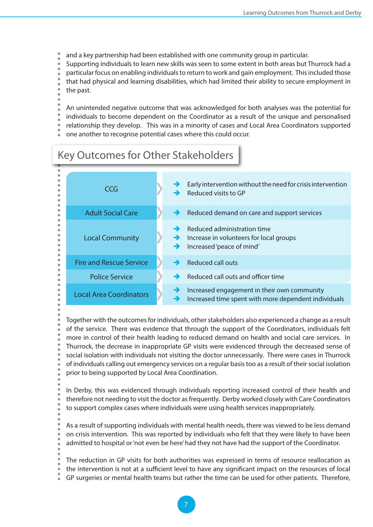- and a key partnership had been established with one community group in particular.
- Supporting individuals to learn new skills was seen to some extent in both areas but Thurrock had a
- particular focus on enabling individuals to return to work and gain employment. This included those
- that had physical and learning disabilities, which had limited their ability to secure employment in the past.
- - An unintended negative outcome that was acknowledged for both analyses was the potential for
- individuals to become dependent on the Coordinator as a result of the unique and personalised
- relationship they develop. This was in a minority of cases and Local Area Coordinators supported
- one another to recognise potential cases where this could occur.

### Key Outcomes for Other Stakeholders

| CCG                            | →<br>→             | Early intervention without the need for crisis intervention<br>Reduced visits to GP                 |
|--------------------------------|--------------------|-----------------------------------------------------------------------------------------------------|
| <b>Adult Social Care</b>       | $\rightarrow$      | Reduced demand on care and support services                                                         |
| <b>Local Community</b>         | →<br>$\rightarrow$ | Reduced administration time<br>Increase in volunteers for local groups<br>Increased 'peace of mind' |
| <b>Fire and Rescue Service</b> |                    | <b>Reduced call outs</b>                                                                            |
| <b>Police Service</b>          | →                  | Reduced call outs and officer time                                                                  |
| <b>Local Area Coordinators</b> | →<br>→             | Increased engagement in their own community<br>Increased time spent with more dependent individuals |

Together with the outcomes for individuals, other stakeholders also experienced a change as a result of the service. There was evidence that through the support of the Coordinators, individuals felt more in control of their health leading to reduced demand on health and social care services. In Thurrock, the decrease in inappropriate GP visits were evidenced through the decreased sense of social isolation with individuals not visiting the doctor unnecessarily. There were cases in Thurrock of individuals calling out emergency services on a regular basis too as a result of their social isolation prior to being supported by Local Area Coordination.

In Derby, this was evidenced through individuals reporting increased control of their health and therefore not needing to visit the doctor as frequently. Derby worked closely with Care Coordinators to support complex cases where individuals were using health services inappropriately.

As a result of supporting individuals with mental health needs, there was viewed to be less demand on crisis intervention. This was reported by individuals who felt that they were likely to have been admitted to hospital or 'not even be here' had they not have had the support of the Coordinator.

The reduction in GP visits for both authorities was expressed in terms of resource reallocation as the intervention is not at a sufficient level to have any significant impact on the resources of local

GP surgeries or mental health teams but rather the time can be used for other patients. Therefore,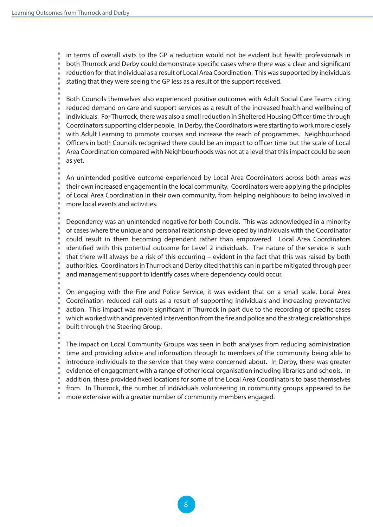in terms of overall visits to the GP a reduction would not be evident but health professionals in both Thurrock and Derby could demonstrate specific cases where there was a clear and significant reduction for that individual as a result of Local Area Coordination. This was supported by individuals stating that they were seeing the GP less as a result of the support received.

Both Councils themselves also experienced positive outcomes with Adult Social Care Teams citing reduced demand on care and support services as a result of the increased health and wellbeing of individuals. For Thurrock, there was also a small reduction in Sheltered Housing Officer time through Coordinators supporting older people. In Derby, the Coordinators were starting to work more closely with Adult Learning to promote courses and increase the reach of programmes. Neighbourhood Officers in both Councils recognised there could be an impact to officer time but the scale of Local Area Coordination compared with Neighbourhoods was not at a level that this impact could be seen as yet.

An unintended positive outcome experienced by Local Area Coordinators across both areas was their own increased engagement in the local community. Coordinators were applying the principles of Local Area Coordination in their own community, from helping neighbours to being involved in more local events and activities.

Dependency was an unintended negative for both Councils. This was acknowledged in a minority of cases where the unique and personal relationship developed by individuals with the Coordinator could result in them becoming dependent rather than empowered. Local Area Coordinators identified with this potential outcome for Level 2 individuals. The nature of the service is such that there will always be a risk of this occurring – evident in the fact that this was raised by both authorities. Coordinators in Thurrock and Derby cited that this can in part be mitigated through peer and management support to identify cases where dependency could occur.

On engaging with the Fire and Police Service, it was evident that on a small scale, Local Area Coordination reduced call outs as a result of supporting individuals and increasing preventative action. This impact was more significant in Thurrock in part due to the recording of specific cases which worked with and prevented intervention from the fire and police and the strategic relationships built through the Steering Group.

The impact on Local Community Groups was seen in both analyses from reducing administration time and providing advice and information through to members of the community being able to introduce individuals to the service that they were concerned about. In Derby, there was greater evidence of engagement with a range of other local organisation including libraries and schools. In addition, these provided fixed locations for some of the Local Area Coordinators to base themselves from. In Thurrock, the number of individuals volunteering in community groups appeared to be more extensive with a greater number of community members engaged.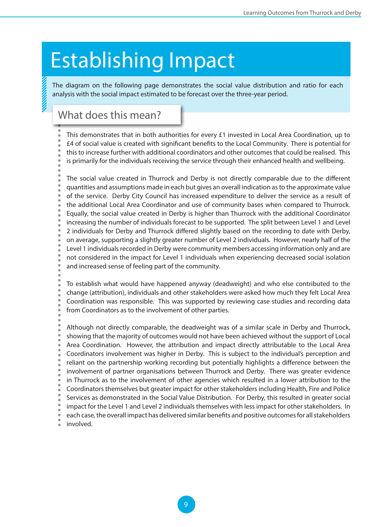## <span id="page-8-0"></span>Establishing Impact

The diagram on the following page demonstrates the social value distribution and ratio for each analysis with the social impact estimated to be forecast over the three-year period.

#### What does this mean?

- This demonstrates that in both authorities for every £1 invested in Local Area Coordination, up to
- £4 of social value is created with significant benefits to the Local Community. There is potential for
- this to increase further with additional coordinators and other outcomes that could be realised. This
- is primarily for the individuals receiving the service through their enhanced health and wellbeing.
- The social value created in Thurrock and Derby is not directly comparable due to the different quantities and assumptions made in each but gives an overall indication as to the approximate value of the service. Derby City Council has increased expenditure to deliver the service as a result of the additional Local Area Coordinator and use of community bases when compared to Thurrock. Equally, the social value created in Derby is higher than Thurrock with the additional Coordinator increasing the number of individuals forecast to be supported. The split between Level 1 and Level 2 individuals for Derby and Thurrock differed slightly based on the recording to date with Derby, on average, supporting a slightly greater number of Level 2 individuals. However, nearly half of the Level 1 individuals recorded in Derby were community members accessing information only and are not considered in the impact for Level 1 individuals when experiencing decreased social isolation and increased sense of feeling part of the community.
	- To establish what would have happened anyway (deadweight) and who else contributed to the change (attribution), individuals and other stakeholders were asked how much they felt Local Area Coordination was responsible. This was supported by reviewing case studies and recording data from Coordinators as to the involvement of other parties.
- Although not directly comparable, the deadweight was of a similar scale in Derby and Thurrock, showing that the majority of outcomes would not have been achieved without the support of Local Area Coordination. However, the attribution and impact directly attributable to the Local Area Coordinators involvement was higher in Derby. This is subject to the individual's perception and reliant on the partnership working recording but potentially highlights a difference between the involvement of partner organisations between Thurrock and Derby. There was greater evidence in Thurrock as to the involvement of other agencies which resulted in a lower attribution to the Coordinators themselves but greater impact for other stakeholders including Health, Fire and Police Services as demonstrated in the Social Value Distribution. For Derby, this resulted in greater social impact for the Level 1 and Level 2 individuals themselves with less impact for other stakeholders. In each case, the overall impact has delivered similar benefits and positive outcomes for all stakeholders involved.

 $\overline{Q}$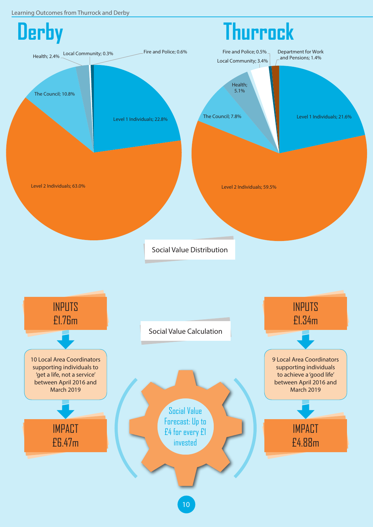Learning Outcomes from Thurrock and Derby



10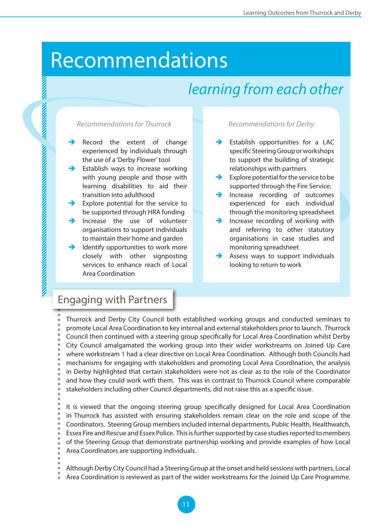### <span id="page-10-0"></span>Recommendations

### *learning from each other*

#### *Recommendations for Thurrock*

- Record the extent of change experienced by individuals through the use of a 'Derby Flower' tool
- Establish ways to increase working with young people and those with learning disabilities to aid their transition into adulthood
- Explore potential for the service to be supported through HRA funding
- Increase the use of volunteer organisations to support individuals to maintain their home and garden
- I dentify opportunities to work more closely with other signposting services to enhance reach of Local Area Coordination

#### *Recommendations for Derby*

- Establish opportunities for a LAC specific Steering Group or workshops to support the building of strategic relationships with partners
- Explore potential for the service to be supported through the Fire Service;
- Increase recording of outcomes experienced for each individual through the monitoring spreadsheet
- Increase recording of working with and referring to other statutory organisations in case studies and monitoring spreadsheet
- Assess ways to support individuals looking to return to work

#### Engaging with Partners

Thurrock and Derby City Council both established working groups and conducted seminars to promote Local Area Coordination to key internal and external stakeholders prior to launch. Thurrock Council then continued with a steering group specifically for Local Area Coordination whilst Derby City Council amalgamated the working group into their wider workstreams on Joined Up Care where workstream 1 had a clear directive on Local Area Coordination. Although both Councils had mechanisms for engaging with stakeholders and promoting Local Area Coordination, the analysis in Derby highlighted that certain stakeholders were not as clear as to the role of the Coordinator and how they could work with them. This was in contrast to Thurrock Council where comparable stakeholders including other Council departments, did not raise this as a specific issue.

A TERRA MENTION CONTRACTOR DE L'ANGUERRE DE L'ANGUERRE DE L'ANGUERRE DE L'ANGUERRE DE L'ANGUE

It is viewed that the ongoing steering group specifically designed for Local Area Coordination in Thurrock has assisted with ensuring stakeholders remain clear on the role and scope of the Coordinators. Steering Group members included internal departments, Public Health, Healthwatch, Essex Fire and Rescue and Essex Police. This is further supported by case studies reported to members of the Steering Group that demonstrate partnership working and provide examples of how Local Area Coordinators are supporting individuals.

Although Derby City Council had a Steering Group at the onset and held sessions with partners, Local Area Coordination is reviewed as part of the wider workstreams for the Joined Up Care Programme.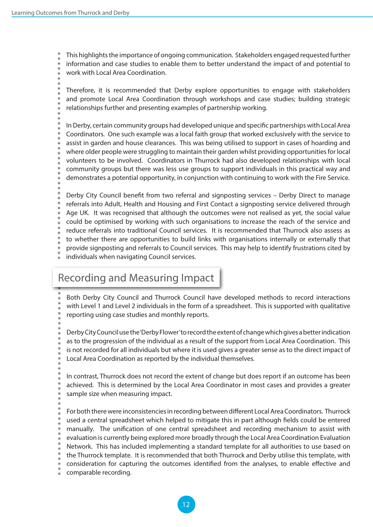This highlights the importance of ongoing communication. Stakeholders engaged requested further information and case studies to enable them to better understand the impact of and potential to work with Local Area Coordination.

Therefore, it is recommended that Derby explore opportunities to engage with stakeholders and promote Local Area Coordination through workshops and case studies; building strategic relationships further and presenting examples of partnership working.

In Derby, certain community groups had developed unique and specific partnerships with Local Area Coordinators. One such example was a local faith group that worked exclusively with the service to assist in garden and house clearances. This was being utilised to support in cases of hoarding and where older people were struggling to maintain their garden whilst providing opportunities for local volunteers to be involved. Coordinators in Thurrock had also developed relationships with local community groups but there was less use groups to support individuals in this practical way and demonstrates a potential opportunity, in conjunction with continuing to work with the Fire Service.

Derby City Council benefit from two referral and signposting services – Derby Direct to manage referrals into Adult, Health and Housing and First Contact a signposting service delivered through Age UK. It was recognised that although the outcomes were not realised as yet, the social value could be optimised by working with such organisations to increase the reach of the service and reduce referrals into traditional Council services. It is recommended that Thurrock also assess as to whether there are opportunities to build links with organisations internally or externally that provide signposting and referrals to Council services. This may help to identify frustrations cited by individuals when navigating Council services.

#### Recording and Measuring Impact

Both Derby City Council and Thurrock Council have developed methods to record interactions with Level 1 and Level 2 individuals in the form of a spreadsheet. This is supported with qualitative reporting using case studies and monthly reports.

Derby City Council use the 'Derby Flower' to record the extent of change which gives a better indication as to the progression of the individual as a result of the support from Local Area Coordination. This is not recorded for all individuals but where it is used gives a greater sense as to the direct impact of Local Area Coordination as reported by the individual themselves.

In contrast, Thurrock does not record the extent of change but does report if an outcome has been achieved. This is determined by the Local Area Coordinator in most cases and provides a greater sample size when measuring impact.

For both there were inconsistencies in recording between different Local Area Coordinators. Thurrock used a central spreadsheet which helped to mitigate this in part although fields could be entered manually. The unification of one central spreadsheet and recording mechanism to assist with evaluation is currently being explored more broadly through the Local Area Coordination Evaluation Network. This has included implementing a standard template for all authorities to use based on the Thurrock template. It is recommended that both Thurrock and Derby utilise this template, with consideration for capturing the outcomes identified from the analyses, to enable effective and  $\ddot{\phantom{a}}$ comparable recording.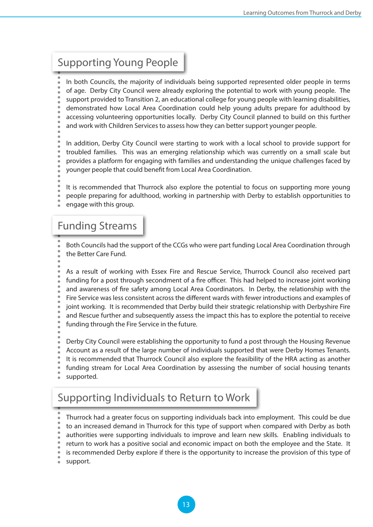#### Supporting Young People

In both Councils, the majority of individuals being supported represented older people in terms of age. Derby City Council were already exploring the potential to work with young people. The support provided to Transition 2, an educational college for young people with learning disabilities, demonstrated how Local Area Coordination could help young adults prepare for adulthood by accessing volunteering opportunities locally. Derby City Council planned to build on this further and work with Children Services to assess how they can better support younger people.

In addition, Derby City Council were starting to work with a local school to provide support for troubled families. This was an emerging relationship which was currently on a small scale but provides a platform for engaging with families and understanding the unique challenges faced by younger people that could benefit from Local Area Coordination.

- It is recommended that Thurrock also explore the potential to focus on supporting more young
- people preparing for adulthood, working in partnership with Derby to establish opportunities to
- engage with this group.

#### Funding Streams

Both Councils had the support of the CCGs who were part funding Local Area Coordination through the Better Care Fund.

- As a result of working with Essex Fire and Rescue Service, Thurrock Council also received part funding for a post through secondment of a fire officer. This had helped to increase joint working and awareness of fire safety among Local Area Coordinators. In Derby, the relationship with the Fire Service was less consistent across the different wards with fewer introductions and examples of joint working. It is recommended that Derby build their strategic relationship with Derbyshire Fire and Rescue further and subsequently assess the impact this has to explore the potential to receive funding through the Fire Service in the future.
- Derby City Council were establishing the opportunity to fund a post through the Housing Revenue Account as a result of the large number of individuals supported that were Derby Homes Tenants. It is recommended that Thurrock Council also explore the feasibility of the HRA acting as another
- 
- funding stream for Local Area Coordination by assessing the number of social housing tenants supported.

#### Supporting Individuals to Return to Work

- Thurrock had a greater focus on supporting individuals back into employment. This could be due
- to an increased demand in Thurrock for this type of support when compared with Derby as both
- authorities were supporting individuals to improve and learn new skills. Enabling individuals to
- return to work has a positive social and economic impact on both the employee and the State. It
- is recommended Derby explore if there is the opportunity to increase the provision of this type of
- support.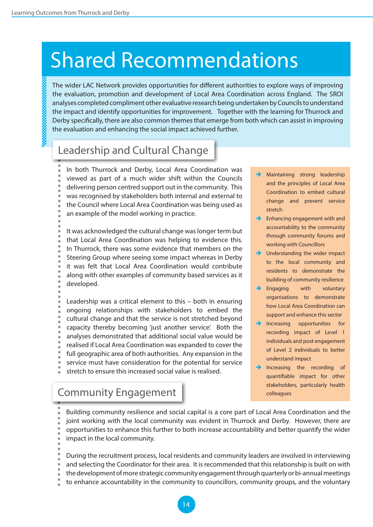### <span id="page-13-0"></span>Shared Recommendations

The wider LAC Network provides opportunities for different authorities to explore ways of improving the evaluation, promotion and development of Local Area Coordination across England. The SROI analyses completed compliment other evaluative research being undertaken by Councils to understand the impact and identify opportunities for improvement. Together with the learning for Thurrock and Derby specifically, there are also common themes that emerge from both which can assist in improving the evaluation and enhancing the social impact achieved further.

#### Leadership and Cultural Change

In both Thurrock and Derby, Local Area Coordination was viewed as part of a much wider shift within the Councils delivering person centred support out in the community. This was recognised by stakeholders both internal and external to the Council where Local Area Coordination was being used as an example of the model working in practice.

It was acknowledged the cultural change was longer term but that Local Area Coordination was helping to evidence this. In Thurrock, there was some evidence that members on the Steering Group where seeing some impact whereas in Derby it was felt that Local Area Coordination would contribute along with other examples of community based services as it developed.

Leadership was a critical element to this – both in ensuring ongoing relationships with stakeholders to embed the cultural change and that the service is not stretched beyond capacity thereby becoming 'just another service'. Both the analyses demonstrated that additional social value would be realised if Local Area Coordination was expanded to cover the full geographic area of both authorities. Any expansion in the service must have consideration for the potential for service stretch to ensure this increased social value is realised.

Community Engagement

- Maintaining strong leadership and the principles of Local Area Coordination to embed cultural change and prevent service stretch
- Enhancing engagement with and accountability to the community through community forums and working with Councillors
- Understanding the wider impact to the local community and residents to demonstrate the building of community resilience
- $\rightarrow$  Engaging with voluntary organisations to demonstrate how Local Area Coordination can support and enhance this sector
- Increasing opportunities for recording impact of Level 1 individuals and post engagement of Level 2 individuals to better understand impact
- Increasing the recording of quantifiable impact for other stakeholders, particularly health colleagues

Building community resilience and social capital is a core part of Local Area Coordination and the joint working with the local community was evident in Thurrock and Derby. However, there are opportunities to enhance this further to both increase accountability and better quantify the wider impact in the local community.

During the recruitment process, local residents and community leaders are involved in interviewing and selecting the Coordinator for their area. It is recommended that this relationship is built on with the development of more strategic community engagement through quarterly or bi-annual meetings to enhance accountability in the community to councillors, community groups, and the voluntary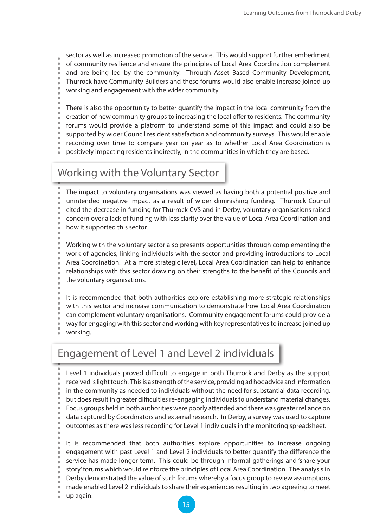sector as well as increased promotion of the service. This would support further embedment of community resilience and ensure the principles of Local Area Coordination complement and are being led by the community. Through Asset Based Community Development, Thurrock have Community Builders and these forums would also enable increase joined up working and engagement with the wider community.

- There is also the opportunity to better quantify the impact in the local community from the creation of new community groups to increasing the local offer to residents. The community forums would provide a platform to understand some of this impact and could also be supported by wider Council resident satisfaction and community surveys. This would enable recording over time to compare year on year as to whether Local Area Coordination is
- positively impacting residents indirectly, in the communities in which they are based.

#### Working with the Voluntary Sector

The impact to voluntary organisations was viewed as having both a potential positive and unintended negative impact as a result of wider diminishing funding. Thurrock Council cited the decrease in funding for Thurrock CVS and in Derby, voluntary organisations raised concern over a lack of funding with less clarity over the value of Local Area Coordination and how it supported this sector.

Working with the voluntary sector also presents opportunities through complementing the work of agencies, linking individuals with the sector and providing introductions to Local Area Coordination. At a more strategic level, Local Area Coordination can help to enhance relationships with this sector drawing on their strengths to the benefit of the Councils and the voluntary organisations.

It is recommended that both authorities explore establishing more strategic relationships with this sector and increase communication to demonstrate how Local Area Coordination can complement voluntary organisations. Community engagement forums could provide a way for engaging with this sector and working with key representatives to increase joined up working.

#### Engagement of Level 1 and Level 2 individuals

Level 1 individuals proved difficult to engage in both Thurrock and Derby as the support received is light touch. This is a strength of the service, providing ad hoc advice and information in the community as needed to individuals without the need for substantial data recording, but does result in greater difficulties re-engaging individuals to understand material changes. Focus groups held in both authorities were poorly attended and there was greater reliance on data captured by Coordinators and external research. In Derby, a survey was used to capture outcomes as there was less recording for Level 1 individuals in the monitoring spreadsheet.

It is recommended that both authorities explore opportunities to increase ongoing engagement with past Level 1 and Level 2 individuals to better quantify the difference the service has made longer term. This could be through informal gatherings and 'share your story' forums which would reinforce the principles of Local Area Coordination. The analysis in Derby demonstrated the value of such forums whereby a focus group to review assumptions made enabled Level 2 individuals to share their experiences resulting in two agreeing to meet up again.